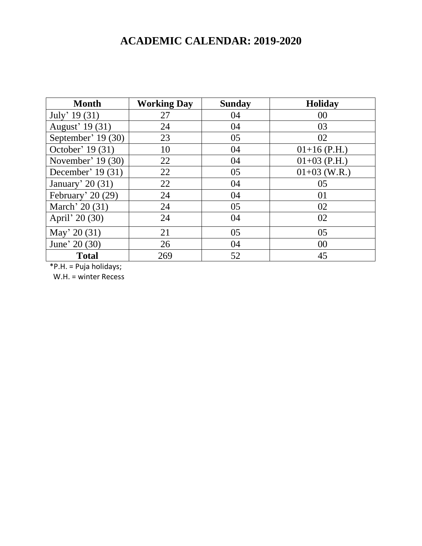## **ACADEMIC CALENDAR: 2019-2020**

| <b>Month</b>        | <b>Working Day</b> | <b>Sunday</b> | <b>Holiday</b> |
|---------------------|--------------------|---------------|----------------|
| July' $19(31)$      | 27                 | 04            | 00             |
| August' 19 (31)     | 24                 | 04            | 03             |
| September' 19 (30)  | 23                 | 05            | 02             |
| October' 19 (31)    | 10                 | 04            | $01+16$ (P.H.) |
| November' 19 (30)   | 22                 | 04            | $01+03$ (P.H.) |
| December' 19 $(31)$ | 22                 | 05            | $01+03$ (W.R.) |
| January' 20 $(31)$  | 22                 | 04            | 05             |
| February' $20(29)$  | 24                 | 04            | 01             |
| March' 20 (31)      | 24                 | 05            | 02             |
| April' 20 (30)      | 24                 | 04            | 02             |
| May' 20 $(31)$      | 21                 | 05            | 05             |
| June' 20 (30)       | 26                 | 04            | 00             |
| <b>Total</b>        | 269                | 52            | 45             |

\*P.H. = Puja holidays;

W.H. = winter Recess